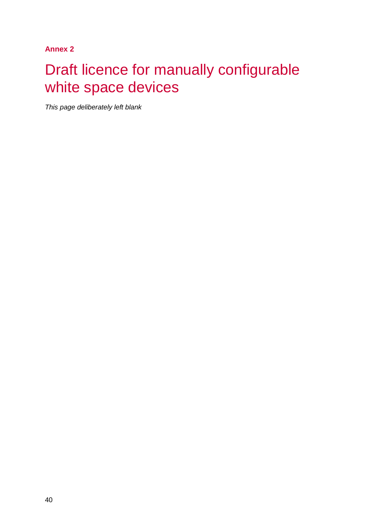**Annex 2**

# Draft licence for manually configurable white space devices

*This page deliberately left blank*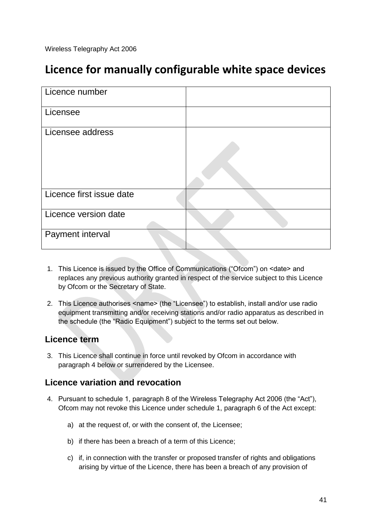Wireless Telegraphy Act 2006

## **Licence for manually configurable white space devices**

| Licence number           |  |
|--------------------------|--|
| Licensee                 |  |
| Licensee address         |  |
| Licence first issue date |  |
| Licence version date     |  |
| Payment interval         |  |

- 1. This Licence is issued by the Office of Communications ("Ofcom") on <date> and replaces any previous authority granted in respect of the service subject to this Licence by Ofcom or the Secretary of State.
- 2. This Licence authorises <name> (the "Licensee") to establish, install and/or use radio equipment transmitting and/or receiving stations and/or radio apparatus as described in the schedule (the "Radio Equipment") subject to the terms set out below.

#### **Licence term**

3. This Licence shall continue in force until revoked by Ofcom in accordance with paragraph 4 below or surrendered by the Licensee.

#### **Licence variation and revocation**

- 4. Pursuant to schedule 1, paragraph 8 of the Wireless Telegraphy Act 2006 (the "Act"), Ofcom may not revoke this Licence under schedule 1, paragraph 6 of the Act except:
	- a) at the request of, or with the consent of, the Licensee;
	- b) if there has been a breach of a term of this Licence;
	- c) if, in connection with the transfer or proposed transfer of rights and obligations arising by virtue of the Licence, there has been a breach of any provision of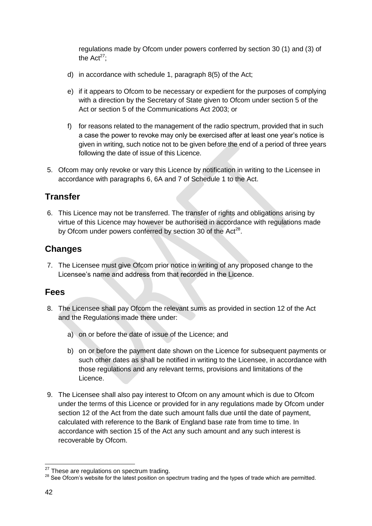regulations made by Ofcom under powers conferred by section 30 (1) and (3) of the Act<sup>27</sup>:

- d) in accordance with schedule 1, paragraph 8(5) of the Act;
- e) if it appears to Ofcom to be necessary or expedient for the purposes of complying with a direction by the Secretary of State given to Ofcom under section 5 of the Act or section 5 of the Communications Act 2003; or
- f) for reasons related to the management of the radio spectrum, provided that in such a case the power to revoke may only be exercised after at least one year's notice is given in writing, such notice not to be given before the end of a period of three years following the date of issue of this Licence.
- 5. Ofcom may only revoke or vary this Licence by notification in writing to the Licensee in accordance with paragraphs 6, 6A and 7 of Schedule 1 to the Act.

#### **Transfer**

6. This Licence may not be transferred. The transfer of rights and obligations arising by virtue of this Licence may however be authorised in accordance with regulations made by Ofcom under powers conferred by section 30 of the Act<sup>28</sup>.

#### **Changes**

7. The Licensee must give Ofcom prior notice in writing of any proposed change to the Licensee's name and address from that recorded in the Licence.

#### **Fees**

- <span id="page-2-0"></span>8. The Licensee shall pay Ofcom the relevant sums as provided in section 12 of the Act and the Regulations made there under:
	- a) on or before the date of issue of the Licence; and
	- b) on or before the payment date shown on the Licence for subsequent payments or such other dates as shall be notified in writing to the Licensee, in accordance with those regulations and any relevant terms, provisions and limitations of the Licence.
- 9. The Licensee shall also pay interest to Ofcom on any amount which is due to Ofcom under the terms of this Licence or provided for in any regulations made by Ofcom under section 12 of the Act from the date such amount falls due until the date of payment, calculated with reference to the Bank of England base rate from time to time. In accordance with section 15 of the Act any such amount and any such interest is recoverable by Ofcom.

-

 $27$  These are regulations on spectrum trading.

<sup>&</sup>lt;sup>28</sup> See Ofcom's website for the latest position on spectrum trading and the types of trade which are permitted.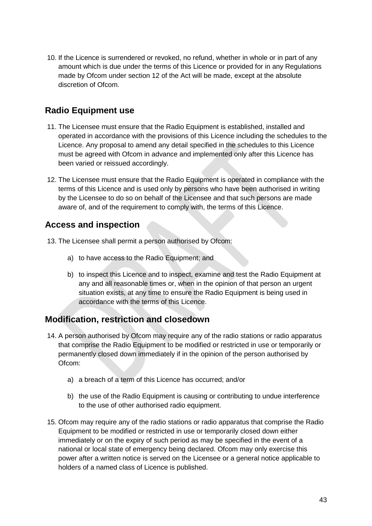10. If the Licence is surrendered or revoked, no refund, whether in whole or in part of any amount which is due under the terms of this Licence or provided for in any Regulations made by Ofcom under section 12 of the Act will be made, except at the absolute discretion of Ofcom.

#### **Radio Equipment use**

- 11. The Licensee must ensure that the Radio Equipment is established, installed and operated in accordance with the provisions of this Licence including the schedules to the Licence. Any proposal to amend any detail specified in the schedules to this Licence must be agreed with Ofcom in advance and implemented only after this Licence has been varied or reissued accordingly.
- 12. The Licensee must ensure that the Radio Equipment is operated in compliance with the terms of this Licence and is used only by persons who have been authorised in writing by the Licensee to do so on behalf of the Licensee and that such persons are made aware of, and of the requirement to comply with, the terms of this Licence.

#### **Access and inspection**

- 13. The Licensee shall permit a person authorised by Ofcom:
	- a) to have access to the Radio Equipment; and
	- b) to inspect this Licence and to inspect, examine and test the Radio Equipment at any and all reasonable times or, when in the opinion of that person an urgent situation exists, at any time to ensure the Radio Equipment is being used in accordance with the terms of this Licence.

#### **Modification, restriction and closedown**

- 14. A person authorised by Ofcom may require any of the radio stations or radio apparatus that comprise the Radio Equipment to be modified or restricted in use or temporarily or permanently closed down immediately if in the opinion of the person authorised by Ofcom:
	- a) a breach of a term of this Licence has occurred; and/or
	- b) the use of the Radio Equipment is causing or contributing to undue interference to the use of other authorised radio equipment.
- 15. Ofcom may require any of the radio stations or radio apparatus that comprise the Radio Equipment to be modified or restricted in use or temporarily closed down either immediately or on the expiry of such period as may be specified in the event of a national or local state of emergency being declared. Ofcom may only exercise this power after a written notice is served on the Licensee or a general notice applicable to holders of a named class of Licence is published.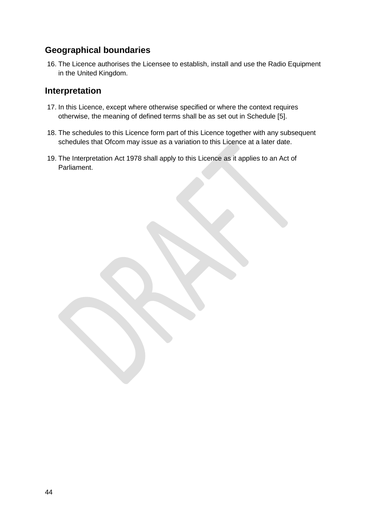#### **Geographical boundaries**

16. The Licence authorises the Licensee to establish, install and use the Radio Equipment in the United Kingdom.

#### **Interpretation**

- 17. In this Licence, except where otherwise specified or where the context requires otherwise, the meaning of defined terms shall be as set out in Schedule [5].
- 18. The schedules to this Licence form part of this Licence together with any subsequent schedules that Ofcom may issue as a variation to this Licence at a later date.
- 19. The Interpretation Act 1978 shall apply to this Licence as it applies to an Act of Parliament.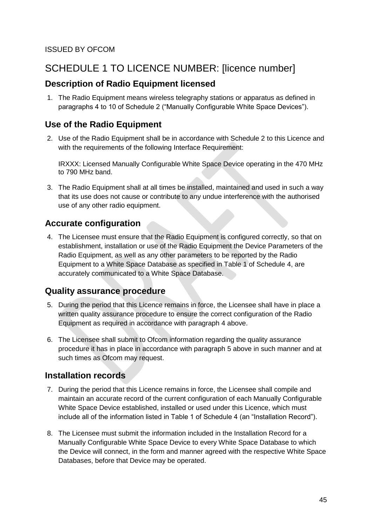## SCHEDULE 1 TO LICENCE NUMBER: [licence number]

#### **Description of Radio Equipment licensed**

1. The Radio Equipment means wireless telegraphy stations or apparatus as defined in paragraphs 4 to 10 of Schedule 2 ("Manually Configurable White Space Devices").

#### **Use of the Radio Equipment**

2. Use of the Radio Equipment shall be in accordance with Schedule 2 to this Licence and with the requirements of the following Interface Requirement:

IRXXX: Licensed Manually Configurable White Space Device operating in the 470 MHz to 790 MHz band.

3. The Radio Equipment shall at all times be installed, maintained and used in such a way that its use does not cause or contribute to any undue interference with the authorised use of any other radio equipment.

#### **Accurate configuration**

<span id="page-5-0"></span>4. The Licensee must ensure that the Radio Equipment is configured correctly, so that on establishment, installation or use of the Radio Equipment the Device Parameters of the Radio Equipment, as well as any other parameters to be reported by the Radio Equipment to a White Space Database as specified in Table 1 of Schedule 4, are accurately communicated to a White Space Database.

#### **Quality assurance procedure**

- <span id="page-5-1"></span>5. During the period that this Licence remains in force, the Licensee shall have in place a written quality assurance procedure to ensure the correct configuration of the Radio Equipment as required in accordance with paragraph [4](#page-5-0) above.
- 6. The Licensee shall submit to Ofcom information regarding the quality assurance procedure it has in place in accordance with paragraph [5](#page-5-1) above in such manner and at such times as Ofcom may request.

#### **Installation records**

- <span id="page-5-2"></span>7. During the period that this Licence remains in force, the Licensee shall compile and maintain an accurate record of the current configuration of each Manually Configurable White Space Device established, installed or used under this Licence, which must include all of the information listed in Table 1 of Schedule 4 (an "Installation Record").
- 8. The Licensee must submit the information included in the Installation Record for a Manually Configurable White Space Device to every White Space Database to which the Device will connect, in the form and manner agreed with the respective White Space Databases, before that Device may be operated.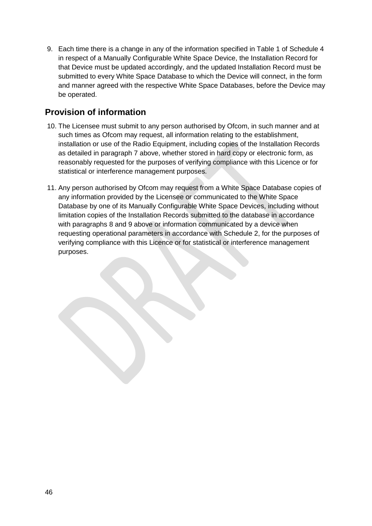<span id="page-6-0"></span>9. Each time there is a change in any of the information specified in Table 1 of Schedule 4 in respect of a Manually Configurable White Space Device, the Installation Record for that Device must be updated accordingly, and the updated Installation Record must be submitted to every White Space Database to which the Device will connect, in the form and manner agreed with the respective White Space Databases, before the Device may be operated.

#### **Provision of information**

- 10. The Licensee must submit to any person authorised by Ofcom, in such manner and at such times as Ofcom may request, all information relating to the establishment, installation or use of the Radio Equipment, including copies of the Installation Records as detailed in paragraph [7](#page-5-2) above, whether stored in hard copy or electronic form, as reasonably requested for the purposes of verifying compliance with this Licence or for statistical or interference management purposes.
- 11. Any person authorised by Ofcom may request from a White Space Database copies of any information provided by the Licensee or communicated to the White Space Database by one of its Manually Configurable White Space Devices, including without limitation copies of the Installation Records submitted to the database in accordance with paragraphs [8](#page-2-0) and 9 above or information communicated by a device when requesting operational parameters in accordance with Schedule 2, for the purposes of verifying compliance with this Licence or for statistical or interference management purposes.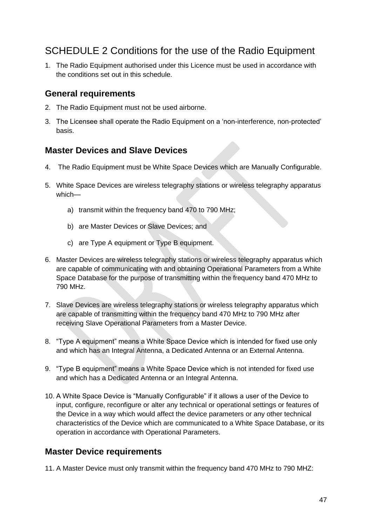### SCHEDULE 2 Conditions for the use of the Radio Equipment

1. The Radio Equipment authorised under this Licence must be used in accordance with the conditions set out in this schedule.

#### **General requirements**

- 2. The Radio Equipment must not be used airborne.
- 3. The Licensee shall operate the Radio Equipment on a 'non-interference, non-protected' basis.

#### **Master Devices and Slave Devices**

- 4. The Radio Equipment must be White Space Devices which are Manually Configurable.
- 5. White Space Devices are wireless telegraphy stations or wireless telegraphy apparatus which
	- a) transmit within the frequency band 470 to 790 MHz;
	- b) are Master Devices or Slave Devices; and
	- c) are Type A equipment or Type B equipment.
- <span id="page-7-1"></span>6. Master Devices are wireless telegraphy stations or wireless telegraphy apparatus which are capable of communicating with and obtaining Operational Parameters from a White Space Database for the purpose of transmitting within the frequency band 470 MHz to 790 MHz.
- <span id="page-7-2"></span>7. Slave Devices are wireless telegraphy stations or wireless telegraphy apparatus which are capable of transmitting within the frequency band 470 MHz to 790 MHz after receiving Slave Operational Parameters from a Master Device.
- <span id="page-7-3"></span>8. "Type A equipment" means a White Space Device which is intended for fixed use only and which has an Integral Antenna, a Dedicated Antenna or an External Antenna.
- <span id="page-7-4"></span>9. "Type B equipment" means a White Space Device which is not intended for fixed use and which has a Dedicated Antenna or an Integral Antenna.
- <span id="page-7-0"></span>10. A White Space Device is "Manually Configurable" if it allows a user of the Device to input, configure, reconfigure or alter any technical or operational settings or features of the Device in a way which would affect the device parameters or any other technical characteristics of the Device which are communicated to a White Space Database, or its operation in accordance with Operational Parameters.

#### **Master Device requirements**

11. A Master Device must only transmit within the frequency band 470 MHz to 790 MHZ: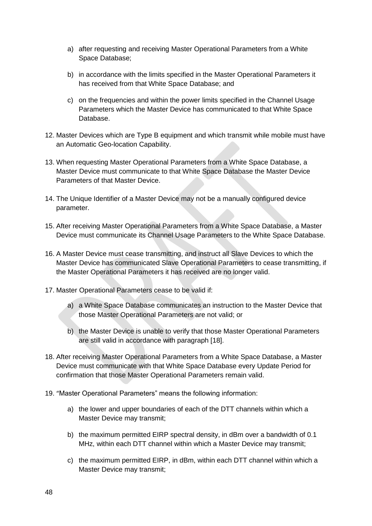- a) after requesting and receiving Master Operational Parameters from a White Space Database;
- b) in accordance with the limits specified in the Master Operational Parameters it has received from that White Space Database; and
- c) on the frequencies and within the power limits specified in the Channel Usage Parameters which the Master Device has communicated to that White Space Database.
- 12. Master Devices which are Type B equipment and which transmit while mobile must have an Automatic Geo-location Capability.
- 13. When requesting Master Operational Parameters from a White Space Database, a Master Device must communicate to that White Space Database the Master Device Parameters of that Master Device.
- 14. The Unique Identifier of a Master Device may not be a manually configured device parameter.
- 15. After receiving Master Operational Parameters from a White Space Database, a Master Device must communicate its Channel Usage Parameters to the White Space Database.
- 16. A Master Device must cease transmitting, and instruct all Slave Devices to which the Master Device has communicated Slave Operational Parameters to cease transmitting, if the Master Operational Parameters it has received are no longer valid.
- 17. Master Operational Parameters cease to be valid if:
	- a) a White Space Database communicates an instruction to the Master Device that those Master Operational Parameters are not valid; or
	- b) the Master Device is unable to verify that those Master Operational Parameters are still valid in accordance with paragraph [\[18\]](#page-8-0).
- <span id="page-8-0"></span>18. After receiving Master Operational Parameters from a White Space Database, a Master Device must communicate with that White Space Database every Update Period for confirmation that those Master Operational Parameters remain valid.
- <span id="page-8-1"></span>19. "Master Operational Parameters" means the following information:
	- a) the lower and upper boundaries of each of the DTT channels within which a Master Device may transmit;
	- b) the maximum permitted EIRP spectral density, in dBm over a bandwidth of 0.1 MHz, within each DTT channel within which a Master Device may transmit;
	- c) the maximum permitted EIRP, in dBm, within each DTT channel within which a Master Device may transmit;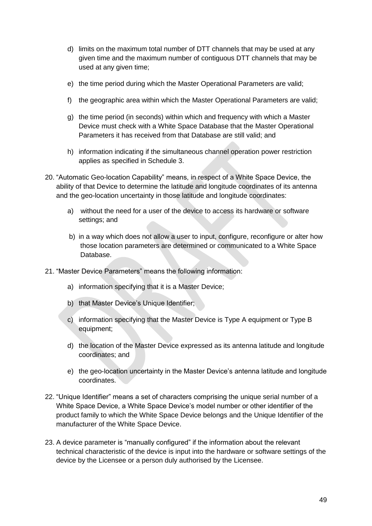- d) limits on the maximum total number of DTT channels that may be used at any given time and the maximum number of contiguous DTT channels that may be used at any given time;
- e) the time period during which the Master Operational Parameters are valid;
- f) the geographic area within which the Master Operational Parameters are valid;
- <span id="page-9-0"></span>g) the time period (in seconds) within which and frequency with which a Master Device must check with a White Space Database that the Master Operational Parameters it has received from that Database are still valid; and
- h) information indicating if the simultaneous channel operation power restriction applies as specified in Schedule 3.
- <span id="page-9-2"></span>20. "Automatic Geo-location Capability" means, in respect of a White Space Device, the ability of that Device to determine the latitude and longitude coordinates of its antenna and the geo-location uncertainty in those latitude and longitude coordinates:
	- a) without the need for a user of the device to access its hardware or software settings; and
	- b) in a way which does not allow a user to input, configure, reconfigure or alter how those location parameters are determined or communicated to a White Space Database.
- <span id="page-9-3"></span>21. "Master Device Parameters" means the following information:
	- a) information specifying that it is a Master Device;
	- b) that Master Device's Unique Identifier;
	- c) information specifying that the Master Device is Type A equipment or Type B equipment;
	- d) the location of the Master Device expressed as its antenna latitude and longitude coordinates; and
	- e) the geo-location uncertainty in the Master Device's antenna latitude and longitude coordinates.
- <span id="page-9-4"></span>22. "Unique Identifier" means a set of characters comprising the unique serial number of a White Space Device, a White Space Device's model number or other identifier of the product family to which the White Space Device belongs and the Unique Identifier of the manufacturer of the White Space Device.
- <span id="page-9-1"></span>23. A device parameter is "manually configured" if the information about the relevant technical characteristic of the device is input into the hardware or software settings of the device by the Licensee or a person duly authorised by the Licensee.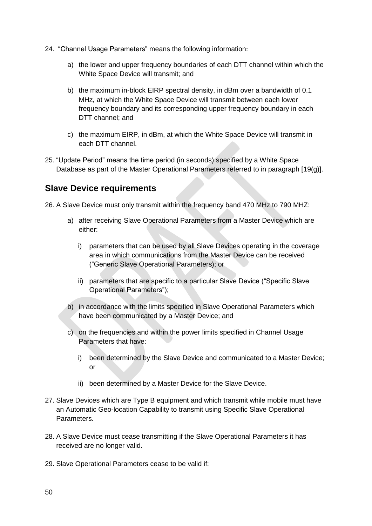- <span id="page-10-0"></span>24. "Channel Usage Parameters" means the following information:
	- a) the lower and upper frequency boundaries of each DTT channel within which the White Space Device will transmit; and
	- b) the maximum in-block EIRP spectral density, in dBm over a bandwidth of 0.1 MHz, at which the White Space Device will transmit between each lower frequency boundary and its corresponding upper frequency boundary in each DTT channel; and
	- c) the maximum EIRP, in dBm, at which the White Space Device will transmit in each DTT channel.
- 25. "Update Period" means the time period (in seconds) specified by a White Space Database as part of the Master Operational Parameters referred to in paragraph [\[19](#page-8-1)[\(g\)\]](#page-9-0).

#### **Slave Device requirements**

- <span id="page-10-2"></span><span id="page-10-1"></span>26. A Slave Device must only transmit within the frequency band 470 MHz to 790 MHZ:
	- a) after receiving Slave Operational Parameters from a Master Device which are either:
		- i) parameters that can be used by all Slave Devices operating in the coverage area in which communications from the Master Device can be received ("Generic Slave Operational Parameters); or
		- ii) parameters that are specific to a particular Slave Device ("Specific Slave Operational Parameters");
	- b) in accordance with the limits specified in Slave Operational Parameters which have been communicated by a Master Device; and
	- c) on the frequencies and within the power limits specified in Channel Usage Parameters that have:
		- i) been determined by the Slave Device and communicated to a Master Device; or
		- ii) been determined by a Master Device for the Slave Device.
- 27. Slave Devices which are Type B equipment and which transmit while mobile must have an Automatic Geo-location Capability to transmit using Specific Slave Operational Parameters.
- 28. A Slave Device must cease transmitting if the Slave Operational Parameters it has received are no longer valid.
- 29. Slave Operational Parameters cease to be valid if: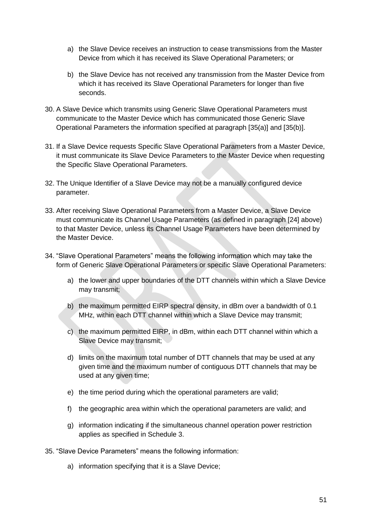- a) the Slave Device receives an instruction to cease transmissions from the Master Device from which it has received its Slave Operational Parameters; or
- b) the Slave Device has not received any transmission from the Master Device from which it has received its Slave Operational Parameters for longer than five seconds.
- <span id="page-11-1"></span>30. A Slave Device which transmits using Generic Slave Operational Parameters must communicate to the Master Device which has communicated those Generic Slave Operational Parameters the information specified at paragraph [\[35\(](#page-11-0)a)] and [\[35\(](#page-11-0)b)].
- <span id="page-11-3"></span>31. If a Slave Device requests Specific Slave Operational Parameters from a Master Device, it must communicate its Slave Device Parameters to the Master Device when requesting the Specific Slave Operational Parameters.
- 32. The Unique Identifier of a Slave Device may not be a manually configured device parameter.
- <span id="page-11-2"></span>33. After receiving Slave Operational Parameters from a Master Device, a Slave Device must communicate its Channel Usage Parameters (as defined in paragraph [\[24\]](#page-10-0) above) to that Master Device, unless its Channel Usage Parameters have been determined by the Master Device.
- <span id="page-11-4"></span>34. "Slave Operational Parameters" means the following information which may take the form of Generic Slave Operational Parameters or specific Slave Operational Parameters:
	- a) the lower and upper boundaries of the DTT channels within which a Slave Device may transmit;
	- b) the maximum permitted EIRP spectral density, in dBm over a bandwidth of 0.1 MHz, within each DTT channel within which a Slave Device may transmit;
	- c) the maximum permitted EIRP, in dBm, within each DTT channel within which a Slave Device may transmit;
	- d) limits on the maximum total number of DTT channels that may be used at any given time and the maximum number of contiguous DTT channels that may be used at any given time;
	- e) the time period during which the operational parameters are valid;
	- f) the geographic area within which the operational parameters are valid; and
	- g) information indicating if the simultaneous channel operation power restriction applies as specified in Schedule 3.
- <span id="page-11-0"></span>35. "Slave Device Parameters" means the following information:
	- a) information specifying that it is a Slave Device;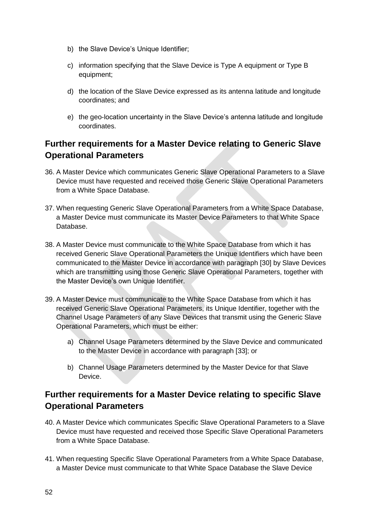- b) the Slave Device's Unique Identifier;
- c) information specifying that the Slave Device is Type A equipment or Type B equipment;
- d) the location of the Slave Device expressed as its antenna latitude and longitude coordinates; and
- e) the geo-location uncertainty in the Slave Device's antenna latitude and longitude coordinates.

#### **Further requirements for a Master Device relating to Generic Slave Operational Parameters**

- 36. A Master Device which communicates Generic Slave Operational Parameters to a Slave Device must have requested and received those Generic Slave Operational Parameters from a White Space Database.
- 37. When requesting Generic Slave Operational Parameters from a White Space Database, a Master Device must communicate its Master Device Parameters to that White Space Database.
- 38. A Master Device must communicate to the White Space Database from which it has received Generic Slave Operational Parameters the Unique Identifiers which have been communicated to the Master Device in accordance with paragraph [\[30\]](#page-11-1) by Slave Devices which are transmitting using those Generic Slave Operational Parameters, together with the Master Device's own Unique Identifier.
- 39. A Master Device must communicate to the White Space Database from which it has received Generic Slave Operational Parameters, its Unique Identifier, together with the Channel Usage Parameters of any Slave Devices that transmit using the Generic Slave Operational Parameters, which must be either:
	- a) Channel Usage Parameters determined by the Slave Device and communicated to the Master Device in accordance with paragraph [\[33\]](#page-11-2); or
	- b) Channel Usage Parameters determined by the Master Device for that Slave Device.

#### **Further requirements for a Master Device relating to specific Slave Operational Parameters**

- 40. A Master Device which communicates Specific Slave Operational Parameters to a Slave Device must have requested and received those Specific Slave Operational Parameters from a White Space Database.
- 41. When requesting Specific Slave Operational Parameters from a White Space Database, a Master Device must communicate to that White Space Database the Slave Device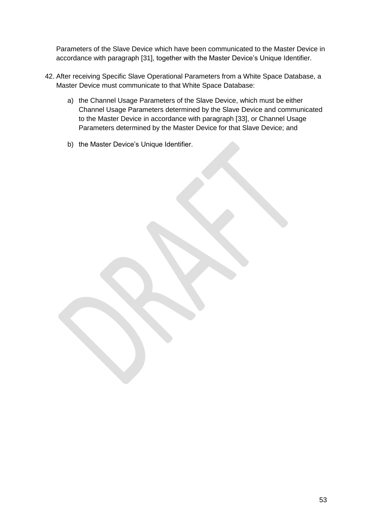Parameters of the Slave Device which have been communicated to the Master Device in accordance with paragraph [\[31\]](#page-11-3), together with the Master Device's Unique Identifier.

- 42. After receiving Specific Slave Operational Parameters from a White Space Database, a Master Device must communicate to that White Space Database:
	- a) the Channel Usage Parameters of the Slave Device, which must be either Channel Usage Parameters determined by the Slave Device and communicated to the Master Device in accordance with paragraph [\[33\]](#page-11-2), or Channel Usage Parameters determined by the Master Device for that Slave Device; and
	- b) the Master Device's Unique Identifier.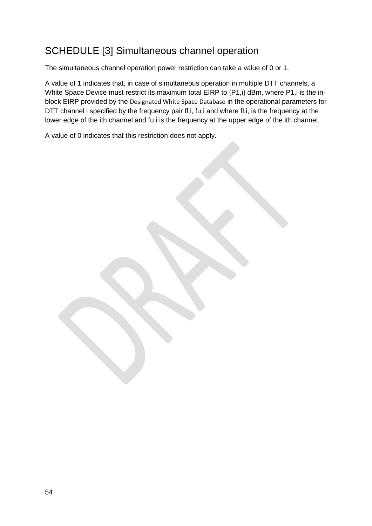## SCHEDULE [3] Simultaneous channel operation

The simultaneous channel operation power restriction can take a value of 0 or 1.

A value of 1 indicates that, in case of simultaneous operation in multiple DTT channels, a White Space Device must restrict its maximum total EIRP to  $\{P1,i\}$  dBm, where P1, i is the inblock EIRP provided by the Designated White Space Database in the operational parameters for DTT channel i specified by the frequency pair fl,i, fu,i and where fl,i, is the frequency at the lower edge of the ith channel and fu,i is the frequency at the upper edge of the ith channel.

A value of 0 indicates that this restriction does not apply.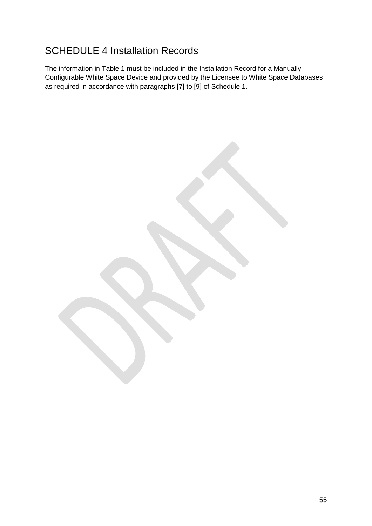## SCHEDULE 4 Installation Records

The information in Table 1 must be included in the Installation Record for a Manually Configurable White Space Device and provided by the Licensee to White Space Databases as required in accordance with paragraphs [\[7\]](#page-5-2) to [\[9\]](#page-6-0) of Schedule 1.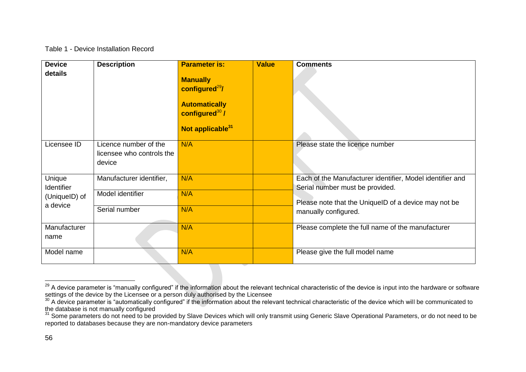#### Table 1 - Device Installation Record

| <b>Device</b>        | <b>Description</b>        | <b>Parameter is:</b>                                                                                                | <b>Value</b> | <b>Comments</b>                                                                              |
|----------------------|---------------------------|---------------------------------------------------------------------------------------------------------------------|--------------|----------------------------------------------------------------------------------------------|
| details              |                           | <b>Manually</b><br>configured $^{29}$ /<br><b>Automatically</b><br>configured $30/$<br>Not applicable <sup>31</sup> |              |                                                                                              |
| Licensee ID          | Licence number of the     | N/A                                                                                                                 |              | Please state the licence number                                                              |
|                      | licensee who controls the |                                                                                                                     |              |                                                                                              |
|                      | device                    |                                                                                                                     |              |                                                                                              |
| Unique<br>Identifier | Manufacturer identifier,  | N/A                                                                                                                 |              | Each of the Manufacturer identifier, Model identifier and<br>Serial number must be provided. |
| (UniqueID) of        | Model identifier          | N/A                                                                                                                 |              |                                                                                              |
| a device             |                           |                                                                                                                     |              | Please note that the UniquelD of a device may not be                                         |
|                      | Serial number             | N/A                                                                                                                 |              | manually configured.                                                                         |
| Manufacturer         |                           | N/A                                                                                                                 |              | Please complete the full name of the manufacturer                                            |
| name                 |                           |                                                                                                                     |              |                                                                                              |
| Model name           |                           | N/A                                                                                                                 |              | Please give the full model name                                                              |

 $\overline{\phantom{a}}$ 

<sup>&</sup>lt;sup>29</sup> A device parameter is "manually configured" if the information about the relevant technical characteristic of the device is input into the hardware or software settings of the device by the Licensee or a person duly authorised by the Licensee

 $30$  A device parameter is "automatically configured" if the information about the relevant technical characteristic of the device which will be communicated to the database is not manually configured

<sup>31</sup> Some parameters do not need to be provided by Slave Devices which will only transmit using Generic Slave Operational Parameters, or do not need to be reported to databases because they are non-mandatory device parameters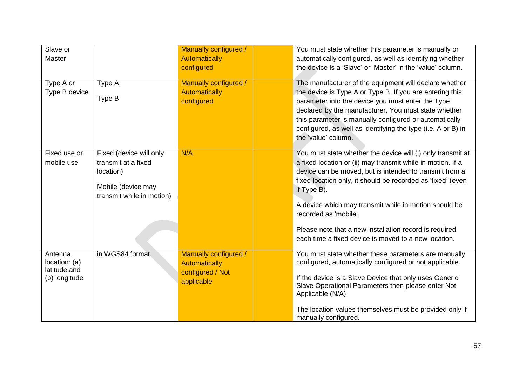| Slave or<br>Master                                        |                                                                                                                | Manually configured /<br>Automatically<br>configured                            |                                          | You must state whether this parameter is manually or<br>automatically configured, as well as identifying whether<br>the device is a 'Slave' or 'Master' in the 'value' column.                                                                                                                                                                                                                                                  |
|-----------------------------------------------------------|----------------------------------------------------------------------------------------------------------------|---------------------------------------------------------------------------------|------------------------------------------|---------------------------------------------------------------------------------------------------------------------------------------------------------------------------------------------------------------------------------------------------------------------------------------------------------------------------------------------------------------------------------------------------------------------------------|
| Type A or<br>Type B device                                | Type A<br>Type B                                                                                               | Manually configured /<br><b>Automatically</b><br>configured                     | the 'value' column.                      | The manufacturer of the equipment will declare whether<br>the device is Type A or Type B. If you are entering this<br>parameter into the device you must enter the Type<br>declared by the manufacturer. You must state whether<br>this parameter is manually configured or automatically<br>configured, as well as identifying the type (i.e. A or B) in                                                                       |
| Fixed use or<br>mobile use                                | Fixed (device will only<br>transmit at a fixed<br>location)<br>Mobile (device may<br>transmit while in motion) | N/A                                                                             | if Type B).<br>recorded as 'mobile'.     | You must state whether the device will (i) only transmit at<br>a fixed location or (ii) may transmit while in motion. If a<br>device can be moved, but is intended to transmit from a<br>fixed location only, it should be recorded as 'fixed' (even<br>A device which may transmit while in motion should be<br>Please note that a new installation record is required<br>each time a fixed device is moved to a new location. |
| Antenna<br>location: (a)<br>latitude and<br>(b) longitude | in WGS84 format                                                                                                | Manually configured /<br><b>Automatically</b><br>configured / Not<br>applicable | Applicable (N/A)<br>manually configured. | You must state whether these parameters are manually<br>configured, automatically configured or not applicable.<br>If the device is a Slave Device that only uses Generic<br>Slave Operational Parameters then please enter Not<br>The location values themselves must be provided only if                                                                                                                                      |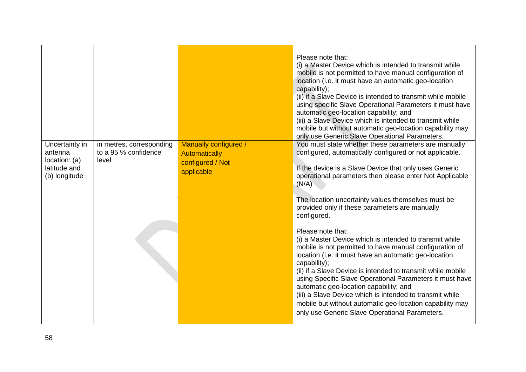|                                                                             |                                                                                                                                                                                                                                                                                                                                                                                                                      |                                                                                 | Please note that:<br>(i) a Master Device which is intended to transmit while<br>mobile is not permitted to have manual configuration of<br>location (i.e. it must have an automatic geo-location<br>capability);<br>(ii) if a Slave Device is intended to transmit while mobile<br>using specific Slave Operational Parameters it must have<br>automatic geo-location capability; and<br>(iii) a Slave Device which is intended to transmit while<br>mobile but without automatic geo-location capability may<br>only use Generic Slave Operational Parameters. |
|-----------------------------------------------------------------------------|----------------------------------------------------------------------------------------------------------------------------------------------------------------------------------------------------------------------------------------------------------------------------------------------------------------------------------------------------------------------------------------------------------------------|---------------------------------------------------------------------------------|-----------------------------------------------------------------------------------------------------------------------------------------------------------------------------------------------------------------------------------------------------------------------------------------------------------------------------------------------------------------------------------------------------------------------------------------------------------------------------------------------------------------------------------------------------------------|
| Uncertainty in<br>antenna<br>location: (a)<br>latitude and<br>(b) longitude | in metres, corresponding<br>to a 95 % confidence<br>level                                                                                                                                                                                                                                                                                                                                                            | Manually configured /<br><b>Automatically</b><br>configured / Not<br>applicable | You must state whether these parameters are manually<br>configured, automatically configured or not applicable.<br>If the device is a Slave Device that only uses Generic<br>operational parameters then please enter Not Applicable<br>(N/A)<br>The location uncertainty values themselves must be<br>provided only if these parameters are manually<br>configured.<br>Please note that:<br>(i) a Master Device which is intended to transmit while<br>mobile is not permitted to have manual configuration of                                                 |
|                                                                             | location (i.e. it must have an automatic geo-location<br>capability);<br>(ii) if a Slave Device is intended to transmit while mobile<br>using Specific Slave Operational Parameters it must have<br>automatic geo-location capability; and<br>(iii) a Slave Device which is intended to transmit while<br>mobile but without automatic geo-location capability may<br>only use Generic Slave Operational Parameters. |                                                                                 |                                                                                                                                                                                                                                                                                                                                                                                                                                                                                                                                                                 |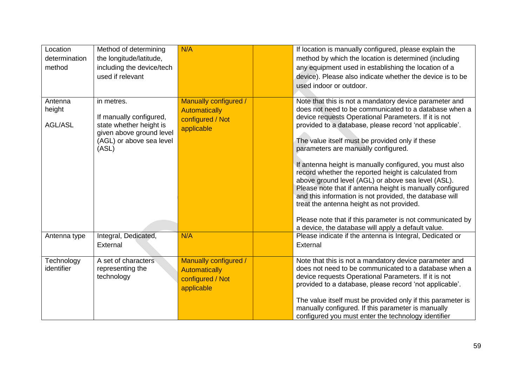| Location<br>determination<br>method | Method of determining<br>the longitude/latitude,<br>including the device/tech<br>used if relevant                                 | N/A                                                                             | If location is manually configured, please explain the<br>method by which the location is determined (including<br>any equipment used in establishing the location of a<br>device). Please also indicate whether the device is to be<br>used indoor or outdoor.                                                                                                                                                                                                                                                                                                                                                                                                                                                                          |
|-------------------------------------|-----------------------------------------------------------------------------------------------------------------------------------|---------------------------------------------------------------------------------|------------------------------------------------------------------------------------------------------------------------------------------------------------------------------------------------------------------------------------------------------------------------------------------------------------------------------------------------------------------------------------------------------------------------------------------------------------------------------------------------------------------------------------------------------------------------------------------------------------------------------------------------------------------------------------------------------------------------------------------|
| Antenna<br>height<br><b>AGL/ASL</b> | in metres.<br>If manually configured,<br>state whether height is<br>given above ground level<br>(AGL) or above sea level<br>(ASL) | Manually configured /<br><b>Automatically</b><br>configured / Not<br>applicable | Note that this is not a mandatory device parameter and<br>does not need to be communicated to a database when a<br>device requests Operational Parameters. If it is not<br>provided to a database, please record 'not applicable'.<br>The value itself must be provided only if these<br>parameters are manually configured.<br>If antenna height is manually configured, you must also<br>record whether the reported height is calculated from<br>above ground level (AGL) or above sea level (ASL).<br>Please note that if antenna height is manually configured<br>and this information is not provided, the database will<br>treat the antenna height as not provided.<br>Please note that if this parameter is not communicated by |
| Antenna type                        | Integral, Dedicated,<br>External                                                                                                  | N/A                                                                             | a device, the database will apply a default value.<br>Please indicate if the antenna is Integral, Dedicated or<br>External                                                                                                                                                                                                                                                                                                                                                                                                                                                                                                                                                                                                               |
| Technology<br>identifier            | A set of characters<br>representing the<br>technology                                                                             | Manually configured /<br><b>Automatically</b><br>configured / Not<br>applicable | Note that this is not a mandatory device parameter and<br>does not need to be communicated to a database when a<br>device requests Operational Parameters. If it is not<br>provided to a database, please record 'not applicable'.<br>The value itself must be provided only if this parameter is<br>manually configured. If this parameter is manually<br>configured you must enter the technology identifier                                                                                                                                                                                                                                                                                                                           |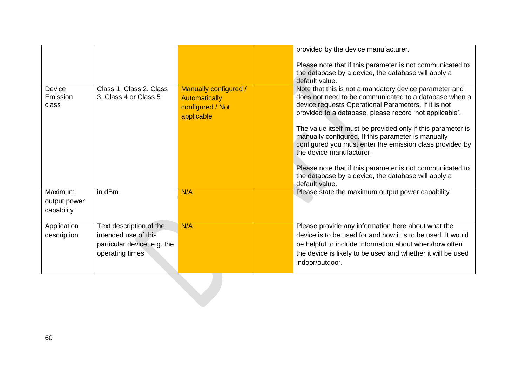|                                       |                                                                                                   |                                                                                 | provided by the device manufacturer.<br>Please note that if this parameter is not communicated to<br>the database by a device, the database will apply a<br>default value.                                                                                                                                                                                                                                                                                                                                                                                          |
|---------------------------------------|---------------------------------------------------------------------------------------------------|---------------------------------------------------------------------------------|---------------------------------------------------------------------------------------------------------------------------------------------------------------------------------------------------------------------------------------------------------------------------------------------------------------------------------------------------------------------------------------------------------------------------------------------------------------------------------------------------------------------------------------------------------------------|
| Device<br>Emission<br>class           | Class 1, Class 2, Class<br>3, Class 4 or Class 5                                                  | Manually configured /<br><b>Automatically</b><br>configured / Not<br>applicable | Note that this is not a mandatory device parameter and<br>does not need to be communicated to a database when a<br>device requests Operational Parameters. If it is not<br>provided to a database, please record 'not applicable'.<br>The value itself must be provided only if this parameter is<br>manually configured. If this parameter is manually<br>configured you must enter the emission class provided by<br>the device manufacturer.<br>Please note that if this parameter is not communicated to<br>the database by a device, the database will apply a |
|                                       |                                                                                                   |                                                                                 | default value.                                                                                                                                                                                                                                                                                                                                                                                                                                                                                                                                                      |
| Maximum<br>output power<br>capability | in dBm                                                                                            | N/A                                                                             | Please state the maximum output power capability                                                                                                                                                                                                                                                                                                                                                                                                                                                                                                                    |
| Application<br>description            | Text description of the<br>intended use of this<br>particular device, e.g. the<br>operating times | N/A                                                                             | Please provide any information here about what the<br>device is to be used for and how it is to be used. It would<br>be helpful to include information about when/how often<br>the device is likely to be used and whether it will be used<br>indoor/outdoor.                                                                                                                                                                                                                                                                                                       |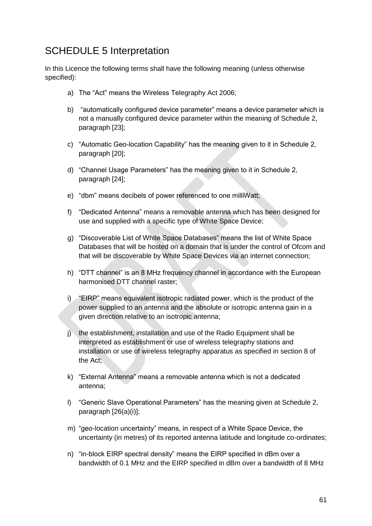## SCHEDULE 5 Interpretation

In this Licence the following terms shall have the following meaning (unless otherwise specified):

- a) The "Act" means the Wireless Telegraphy Act 2006;
- b) "automatically configured device parameter" means a device parameter which is not a manually configured device parameter within the meaning of Schedule 2, paragraph [\[23\]](#page-9-1);
- c) "Automatic Geo-location Capability" has the meaning given to it in Schedule 2, paragraph [\[20\]](#page-9-2);
- d) "Channel Usage Parameters" has the meaning given to it in Schedule 2, paragraph [\[24\]](#page-10-0);
- e) "dbm" means decibels of power referenced to one milliWatt;
- f) "Dedicated Antenna" means a removable antenna which has been designed for use and supplied with a specific type of White Space Device;
- g) "Discoverable List of White Space Databases" means the list of White Space Databases that will be hosted on a domain that is under the control of Ofcom and that will be discoverable by White Space Devices via an internet connection;
- h) "DTT channel" is an 8 MHz frequency channel in accordance with the European harmonised DTT channel raster;
- i) "EIRP" means equivalent isotropic radiated power, which is the product of the power supplied to an antenna and the absolute or isotropic antenna gain in a given direction relative to an isotropic antenna;
- j) the establishment, installation and use of the Radio Equipment shall be interpreted as establishment or use of wireless telegraphy stations and installation or use of wireless telegraphy apparatus as specified in section 8 of the Act;
- k) "External Antenna" means a removable antenna which is not a dedicated antenna;
- l) "Generic Slave Operational Parameters" has the meaning given at Schedule 2, paragraph [\[26\(](#page-10-1)a)[\(i\)\]](#page-10-2);
- m) "geo-location uncertainty" means, in respect of a White Space Device, the uncertainty (in metres) of its reported antenna latitude and longitude co-ordinates;
- n) "in-block EIRP spectral density" means the EIRP specified in dBm over a bandwidth of 0.1 MHz and the EIRP specified in dBm over a bandwidth of 8 MHz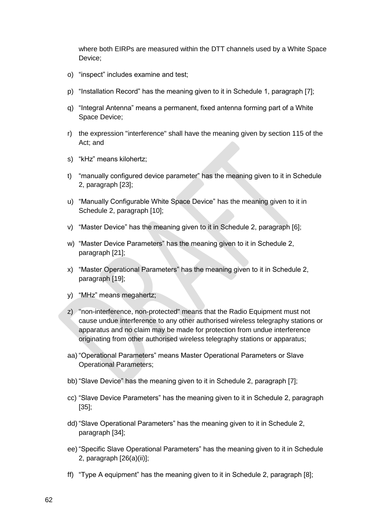where both EIRPs are measured within the DTT channels used by a White Space Device;

- o) "inspect" includes examine and test;
- p) "Installation Record" has the meaning given to it in Schedule 1, paragraph [\[7\]](#page-5-2);
- q) "Integral Antenna" means a permanent, fixed antenna forming part of a White Space Device;
- r) the expression "interference" shall have the meaning given by section 115 of the Act; and
- s) "kHz" means kilohertz;
- t) "manually configured device parameter" has the meaning given to it in Schedule 2, paragraph [\[23\]](#page-9-1);
- u) "Manually Configurable White Space Device" has the meaning given to it in Schedule 2, paragraph [\[10\]](#page-7-0);
- v) "Master Device" has the meaning given to it in Schedule 2, paragraph [\[6\]](#page-7-1);
- w) "Master Device Parameters" has the meaning given to it in Schedule 2, paragraph [\[21\]](#page-9-3);
- x) "Master Operational Parameters" has the meaning given to it in Schedule 2, paragraph [\[19\]](#page-8-1);
- y) "MHz" means megahertz;
- z) "non-interference, non-protected" means that the Radio Equipment must not cause undue interference to any other authorised wireless telegraphy stations or apparatus and no claim may be made for protection from undue interference originating from other authorised wireless telegraphy stations or apparatus;
- aa) "Operational Parameters" means Master Operational Parameters or Slave Operational Parameters;
- bb) "Slave Device" has the meaning given to it in Schedule 2, paragraph [\[7\]](#page-7-2);
- cc) "Slave Device Parameters" has the meaning given to it in Schedule 2, paragraph [\[35\]](#page-11-0);
- dd) "Slave Operational Parameters" has the meaning given to it in Schedule 2, paragraph [\[34\]](#page-11-4);
- ee) "Specific Slave Operational Parameters" has the meaning given to it in Schedule 2, paragraph [\[26\(](#page-10-1)a)(ii)];
- ff) "Type A equipment" has the meaning given to it in Schedule 2, paragraph [\[8\]](#page-7-3);